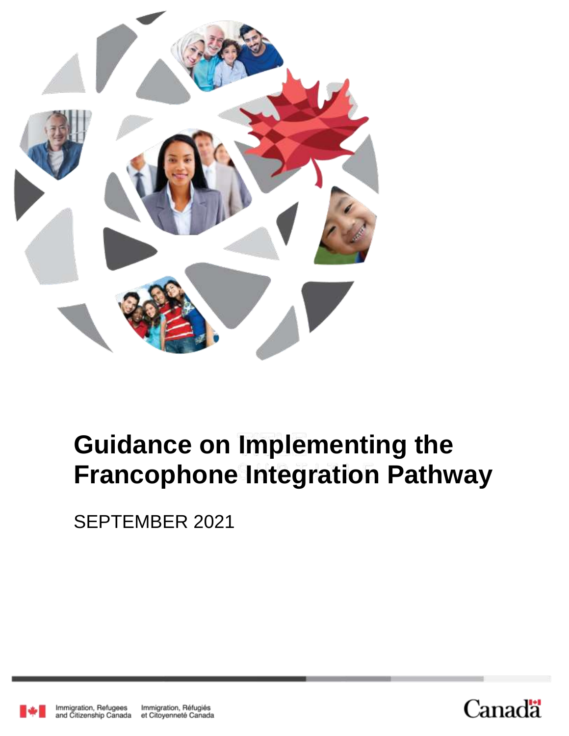

# **Guidance on Implementing the Francophone Integration Pathway**

SEPTEMBER 2021



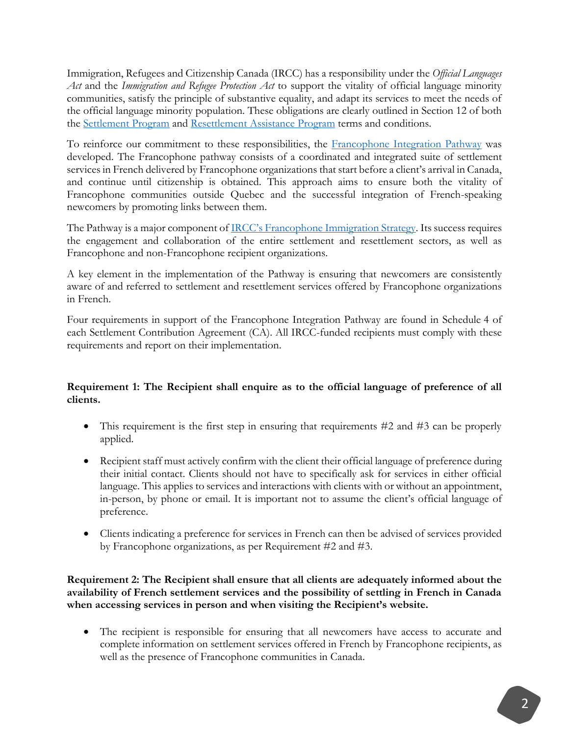Immigration, Refugees and Citizenship Canada (IRCC) has a responsibility under the *Official Languages Act* and the *Immigration and Refugee Protection Act* to support the vitality of official language minority communities, satisfy the principle of substantive equality, and adapt its services to meet the needs of the official language minority population. These obligations are clearly outlined in Section 12 of both the [Settlement Program](https://www.canada.ca/en/immigration-refugees-citizenship/corporate/transparency/program-terms-conditions/settlement.html) and [Resettlement Assistance Program](https://www.canada.ca/en/immigration-refugees-citizenship/corporate/transparency/program-terms-conditions/resettlement-assistance-program.html) terms and conditions.

To reinforce our commitment to these responsibilities, the [Francophone Integration Pathway](https://www.canada.ca/en/immigration-refugees-citizenship/campaigns/francophone-immigration-outside-quebec.html) was developed. The Francophone pathway consists of a coordinated and integrated suite of settlement services in French delivered by Francophone organizations that start before a client's arrival in Canada, and continue until citizenship is obtained. This approach aims to ensure both the vitality of Francophone communities outside Quebec and the successful integration of French-speaking newcomers by promoting links between them.

The Pathway is a major component of **IRCC**'s Francophone Immigration Strategy. Its success requires the engagement and collaboration of the entire settlement and resettlement sectors, as well as Francophone and non-Francophone recipient organizations.

A key element in the implementation of the Pathway is ensuring that newcomers are consistently aware of and referred to settlement and resettlement services offered by Francophone organizations in French.

Four requirements in support of the Francophone Integration Pathway are found in Schedule 4 of each Settlement Contribution Agreement (CA). All IRCC-funded recipients must comply with these requirements and report on their implementation.

## **Requirement 1: The Recipient shall enquire as to the official language of preference of all clients.**

- This requirement is the first step in ensuring that requirements #2 and #3 can be properly applied.
- Recipient staff must actively confirm with the client their official language of preference during their initial contact. Clients should not have to specifically ask for services in either official language. This applies to services and interactions with clients with or without an appointment, in-person, by phone or email. It is important not to assume the client's official language of preference.
- Clients indicating a preference for services in French can then be advised of services provided by Francophone organizations, as per Requirement #2 and #3.

### **Requirement 2: The Recipient shall ensure that all clients are adequately informed about the availability of French settlement services and the possibility of settling in French in Canada when accessing services in person and when visiting the Recipient's website.**

 The recipient is responsible for ensuring that all newcomers have access to accurate and complete information on settlement services offered in French by Francophone recipients, as well as the presence of Francophone communities in Canada.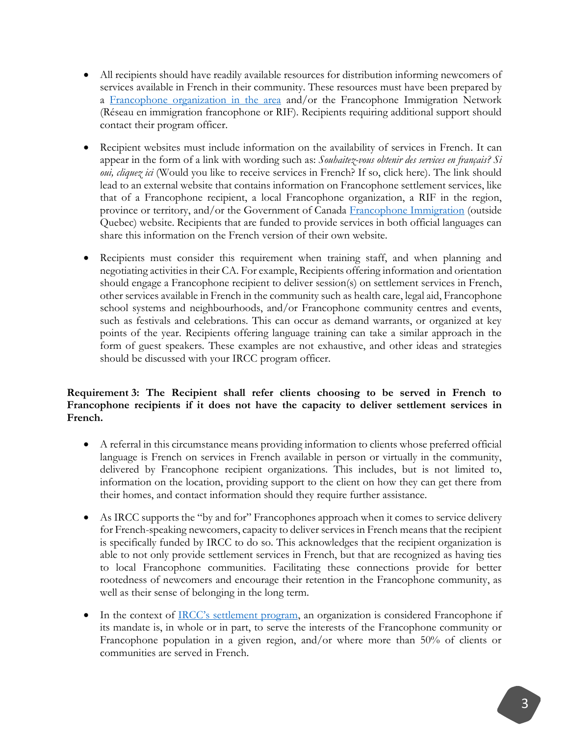- All recipients should have readily available resources for distribution informing newcomers of services available in French in their community. These resources must have been prepared by a [Francophone organization in the area](https://ircc.canada.ca/english/newcomers/services/index.asp) and/or the Francophone Immigration Network (Réseau en immigration francophone or RIF). Recipients requiring additional support should contact their program officer.
- Recipient websites must include information on the availability of services in French. It can appear in the form of a link with wording such as: *Souhaitez-vous obtenir des services en français? Si oui, cliquez ici* (Would you like to receive services in French? If so, click here). The link should lead to an external website that contains information on Francophone settlement services, like that of a Francophone recipient, a local Francophone organization, a RIF in the region, province or territory, and/or the Government of Canada [Francophone Immigration](https://www.canada.ca/en/immigration-refugees-citizenship/campaigns/francophone-immigration-outside-quebec.html) (outside Quebec) website. Recipients that are funded to provide services in both official languages can share this information on the French version of their own website.
- Recipients must consider this requirement when training staff, and when planning and negotiating activities in their CA. For example, Recipients offering information and orientation should engage a Francophone recipient to deliver session(s) on settlement services in French, other services available in French in the community such as health care, legal aid, Francophone school systems and neighbourhoods, and/or Francophone community centres and events, such as festivals and celebrations. This can occur as demand warrants, or organized at key points of the year. Recipients offering language training can take a similar approach in the form of guest speakers. These examples are not exhaustive, and other ideas and strategies should be discussed with your IRCC program officer.

### **Requirement 3: The Recipient shall refer clients choosing to be served in French to Francophone recipients if it does not have the capacity to deliver settlement services in French.**

- A referral in this circumstance means providing information to clients whose preferred official language is French on services in French available in person or virtually in the community, delivered by Francophone recipient organizations. This includes, but is not limited to, information on the location, providing support to the client on how they can get there from their homes, and contact information should they require further assistance.
- As IRCC supports the "by and for" Francophones approach when it comes to service delivery for French-speaking newcomers, capacity to deliver services in French means that the recipient is specifically funded by IRCC to do so. This acknowledges that the recipient organization is able to not only provide settlement services in French, but that are recognized as having ties to local Francophone communities. Facilitating these connections provide for better rootedness of newcomers and encourage their retention in the Francophone community, as well as their sense of belonging in the long term.
- In the context of [IRCC's settlement program](https://www.canada.ca/en/immigration-refugees-citizenship/corporate/partners-service-providers/funding/call-for-proposals-2019-settlement-and-resettlement-funding-guidelines.html#Official_languages), an organization is considered Francophone if its mandate is, in whole or in part, to serve the interests of the Francophone community or Francophone population in a given region, and/or where more than 50% of clients or communities are served in French.